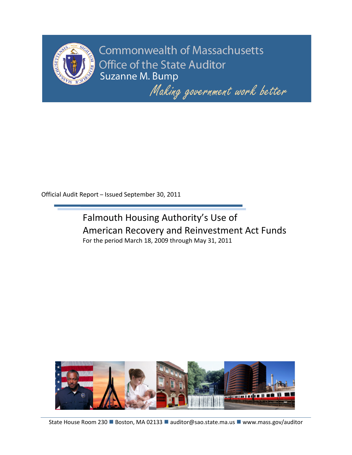

**Commonwealth of Massachusetts** Office of the State Auditor Suzanne M. Bump

Making government work better

Official Audit Report – Issued September 30, 2011





State House Room 230 Boston, MA 02133 auditor@sao.state.ma.us www.mass.gov/auditor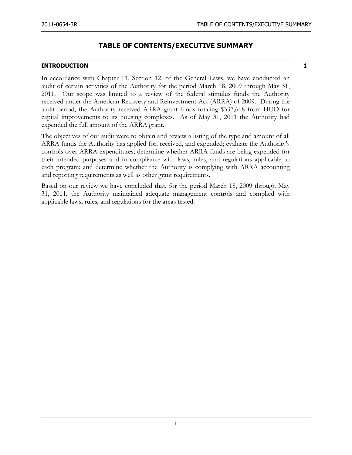# **TABLE OF CONTENTS/EXECUTIVE SUMMARY**

#### **INTRODUCTION 1**

In accordance with Chapter 11, Section 12, of the General Laws, we have conducted an audit of certain activities of the Authority for the period March 18, 2009 through May 31, 2011. Our scope was limited to a review of the federal stimulus funds the Authority received under the American Recovery and Reinvestment Act (ARRA) of 2009. During the audit period, the Authority received ARRA grant funds totaling \$337,668 from HUD for capital improvements to its housing complexes. As of May 31, 2011 the Authority had expended the full amount of the ARRA grant.

The objectives of our audit were to obtain and review a listing of the type and amount of all ARRA funds the Authority has applied for, received, and expended; evaluate the Authority's controls over ARRA expenditures; determine whether ARRA funds are being expended for their intended purposes and in compliance with laws, rules, and regulations applicable to each program; and determine whether the Authority is complying with ARRA accounting and reporting requirements as well as other grant requirements.

Based on our review we have concluded that, for the period March 18, 2009 through May 31, 2011, the Authority maintained adequate management controls and complied with applicable laws, rules, and regulations for the areas tested.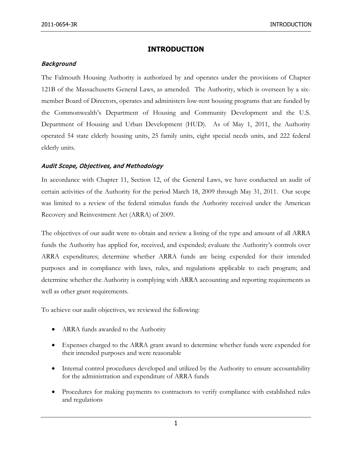## **INTRODUCTION**

#### **Background**

The Falmouth Housing Authority is authorized by and operates under the provisions of Chapter 121B of the Massachusetts General Laws, as amended. The Authority, which is overseen by a sixmember Board of Directors, operates and administers low-rent housing programs that are funded by the Commonwealth's Department of Housing and Community Development and the U.S. Department of Housing and Urban Development (HUD). As of May 1, 2011, the Authority operated 54 state elderly housing units, 25 family units, eight special needs units, and 222 federal elderly units.

### Audit Scope, Objectives, and Methodology

In accordance with Chapter 11, Section 12, of the General Laws, we have conducted an audit of certain activities of the Authority for the period March 18, 2009 through May 31, 2011. Our scope was limited to a review of the federal stimulus funds the Authority received under the American Recovery and Reinvestment Act (ARRA) of 2009.

The objectives of our audit were to obtain and review a listing of the type and amount of all ARRA funds the Authority has applied for, received, and expended; evaluate the Authority's controls over ARRA expenditures; determine whether ARRA funds are being expended for their intended purposes and in compliance with laws, rules, and regulations applicable to each program; and determine whether the Authority is complying with ARRA accounting and reporting requirements as well as other grant requirements.

To achieve our audit objectives, we reviewed the following:

- ARRA funds awarded to the Authority
- Expenses charged to the ARRA grant award to determine whether funds were expended for their intended purposes and were reasonable
- Internal control procedures developed and utilized by the Authority to ensure accountability for the administration and expenditure of ARRA funds
- Procedures for making payments to contractors to verify compliance with established rules and regulations